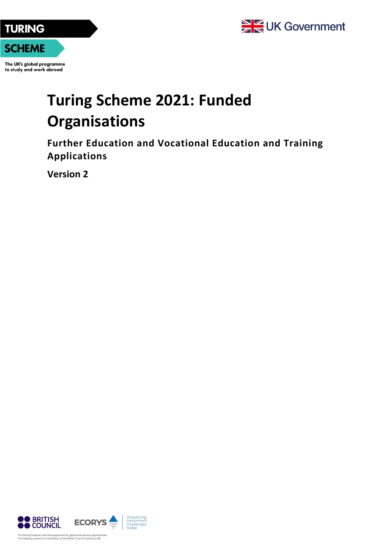

**SCHEME** 

The UK's global programme to study and work abroad

## **Turing Scheme 2021: Funded Organisations**

**Further Education and Vocational Education and Training Applications**

**Version 2**

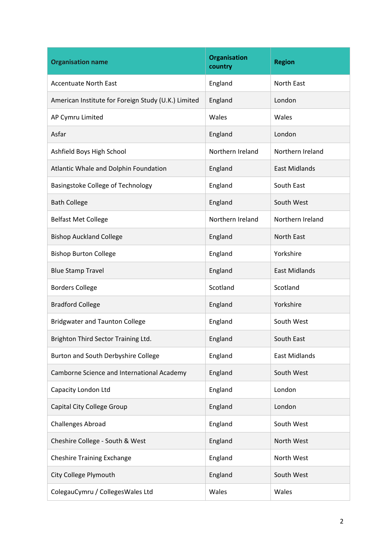| <b>Organisation name</b>                            | <b>Organisation</b><br>country | <b>Region</b>        |
|-----------------------------------------------------|--------------------------------|----------------------|
| <b>Accentuate North East</b>                        | England                        | <b>North East</b>    |
| American Institute for Foreign Study (U.K.) Limited | England                        | London               |
| AP Cymru Limited                                    | Wales                          | Wales                |
| Asfar                                               | England                        | London               |
| Ashfield Boys High School                           | Northern Ireland               | Northern Ireland     |
| Atlantic Whale and Dolphin Foundation               | England                        | <b>East Midlands</b> |
| Basingstoke College of Technology                   | England                        | South East           |
| <b>Bath College</b>                                 | England                        | South West           |
| <b>Belfast Met College</b>                          | Northern Ireland               | Northern Ireland     |
| <b>Bishop Auckland College</b>                      | England                        | <b>North East</b>    |
| <b>Bishop Burton College</b>                        | England                        | Yorkshire            |
| <b>Blue Stamp Travel</b>                            | England                        | <b>East Midlands</b> |
| <b>Borders College</b>                              | Scotland                       | Scotland             |
| <b>Bradford College</b>                             | England                        | Yorkshire            |
| <b>Bridgwater and Taunton College</b>               | England                        | South West           |
| Brighton Third Sector Training Ltd.                 | England                        | South East           |
| Burton and South Derbyshire College                 | England                        | <b>East Midlands</b> |
| Camborne Science and International Academy          | England                        | South West           |
| Capacity London Ltd                                 | England                        | London               |
| Capital City College Group                          | England                        | London               |
| <b>Challenges Abroad</b>                            | England                        | South West           |
| Cheshire College - South & West                     | England                        | North West           |
| <b>Cheshire Training Exchange</b>                   | England                        | North West           |
| City College Plymouth                               | England                        | South West           |
| ColegauCymru / CollegesWales Ltd                    | Wales                          | Wales                |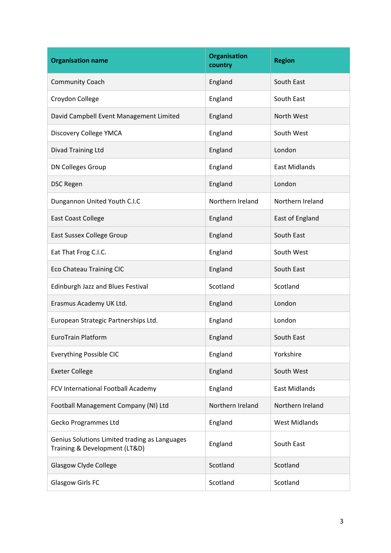| <b>Organisation name</b>                                                       | <b>Organisation</b><br>country | <b>Region</b>        |
|--------------------------------------------------------------------------------|--------------------------------|----------------------|
| <b>Community Coach</b>                                                         | England                        | South East           |
| Croydon College                                                                | England                        | South East           |
| David Campbell Event Management Limited                                        | England                        | North West           |
| Discovery College YMCA                                                         | England                        | South West           |
| Divad Training Ltd                                                             | England                        | London               |
| DN Colleges Group                                                              | England                        | <b>East Midlands</b> |
| <b>DSC Regen</b>                                                               | England                        | London               |
| Dungannon United Youth C.I.C                                                   | Northern Ireland               | Northern Ireland     |
| <b>East Coast College</b>                                                      | England                        | East of England      |
| East Sussex College Group                                                      | England                        | South East           |
| Eat That Frog C.I.C.                                                           | England                        | South West           |
| <b>Eco Chateau Training CIC</b>                                                | England                        | South East           |
| Edinburgh Jazz and Blues Festival                                              | Scotland                       | Scotland             |
| Erasmus Academy UK Ltd.                                                        | England                        | London               |
| European Strategic Partnerships Ltd.                                           | England                        | London               |
| <b>EuroTrain Platform</b>                                                      | England                        | South East           |
| <b>Everything Possible CIC</b>                                                 | England                        | Yorkshire            |
| <b>Exeter College</b>                                                          | England                        | South West           |
| FCV International Football Academy                                             | England                        | <b>East Midlands</b> |
| Football Management Company (NI) Ltd                                           | Northern Ireland               | Northern Ireland     |
| <b>Gecko Programmes Ltd</b>                                                    | England                        | <b>West Midlands</b> |
| Genius Solutions Limited trading as Languages<br>Training & Development (LT&D) | England                        | South East           |
| Glasgow Clyde College                                                          | Scotland                       | Scotland             |
| <b>Glasgow Girls FC</b>                                                        | Scotland                       | Scotland             |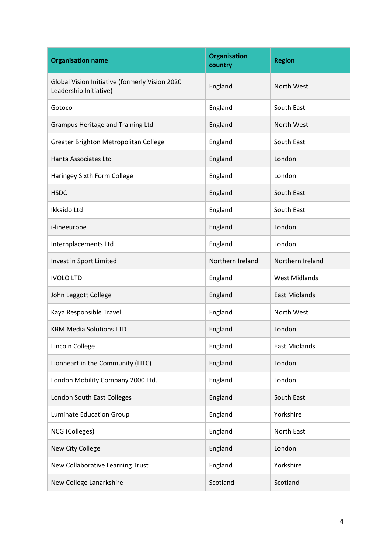| <b>Organisation name</b>                                                 | <b>Organisation</b><br>country | <b>Region</b>        |
|--------------------------------------------------------------------------|--------------------------------|----------------------|
| Global Vision Initiative (formerly Vision 2020<br>Leadership Initiative) | England                        | North West           |
| Gotoco                                                                   | England                        | South East           |
| Grampus Heritage and Training Ltd                                        | England                        | North West           |
| Greater Brighton Metropolitan College                                    | England                        | South East           |
| Hanta Associates Ltd                                                     | England                        | London               |
| Haringey Sixth Form College                                              | England                        | London               |
| <b>HSDC</b>                                                              | England                        | South East           |
| Ikkaido Ltd                                                              | England                        | South East           |
| i-lineeurope                                                             | England                        | London               |
| Internplacements Ltd                                                     | England                        | London               |
| Invest in Sport Limited                                                  | Northern Ireland               | Northern Ireland     |
| <b>IVOLO LTD</b>                                                         | England                        | <b>West Midlands</b> |
| John Leggott College                                                     | England                        | <b>East Midlands</b> |
| Kaya Responsible Travel                                                  | England                        | North West           |
| <b>KBM Media Solutions LTD</b>                                           | England                        | London               |
| Lincoln College                                                          | England                        | <b>East Midlands</b> |
| Lionheart in the Community (LITC)                                        | England                        | London               |
| London Mobility Company 2000 Ltd.                                        | England                        | London               |
| London South East Colleges                                               | England                        | South East           |
| Luminate Education Group                                                 | England                        | Yorkshire            |
| NCG (Colleges)                                                           | England                        | North East           |
| New City College                                                         | England                        | London               |
| New Collaborative Learning Trust                                         | England                        | Yorkshire            |
| New College Lanarkshire                                                  | Scotland                       | Scotland             |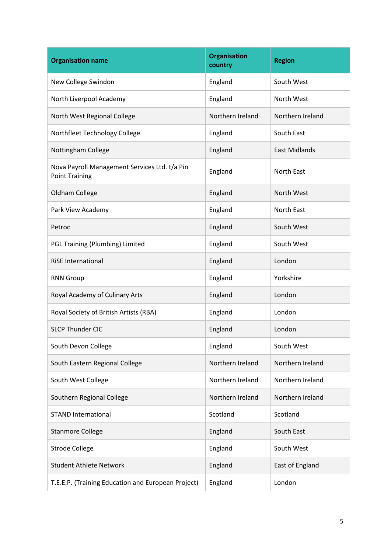| <b>Organisation name</b>                                               | <b>Organisation</b><br>country | <b>Region</b>        |
|------------------------------------------------------------------------|--------------------------------|----------------------|
| New College Swindon                                                    | England                        | South West           |
| North Liverpool Academy                                                | England                        | North West           |
| North West Regional College                                            | Northern Ireland               | Northern Ireland     |
| Northfleet Technology College                                          | England                        | South East           |
| Nottingham College                                                     | England                        | <b>East Midlands</b> |
| Nova Payroll Management Services Ltd. t/a Pin<br><b>Point Training</b> | England                        | North East           |
| Oldham College                                                         | England                        | North West           |
| Park View Academy                                                      | England                        | <b>North East</b>    |
| Petroc                                                                 | England                        | South West           |
| PGL Training (Plumbing) Limited                                        | England                        | South West           |
| <b>RiSE International</b>                                              | England                        | London               |
| <b>RNN Group</b>                                                       | England                        | Yorkshire            |
| Royal Academy of Culinary Arts                                         | England                        | London               |
| Royal Society of British Artists (RBA)                                 | England                        | London               |
| <b>SLCP Thunder CIC</b>                                                | England                        | London               |
| South Devon College                                                    | England                        | South West           |
| South Eastern Regional College                                         | Northern Ireland               | Northern Ireland     |
| South West College                                                     | Northern Ireland               | Northern Ireland     |
| Southern Regional College                                              | Northern Ireland               | Northern Ireland     |
| <b>STAND International</b>                                             | Scotland                       | Scotland             |
| <b>Stanmore College</b>                                                | England                        | South East           |
| <b>Strode College</b>                                                  | England                        | South West           |
| <b>Student Athlete Network</b>                                         | England                        | East of England      |
| T.E.E.P. (Training Education and European Project)                     | England                        | London               |